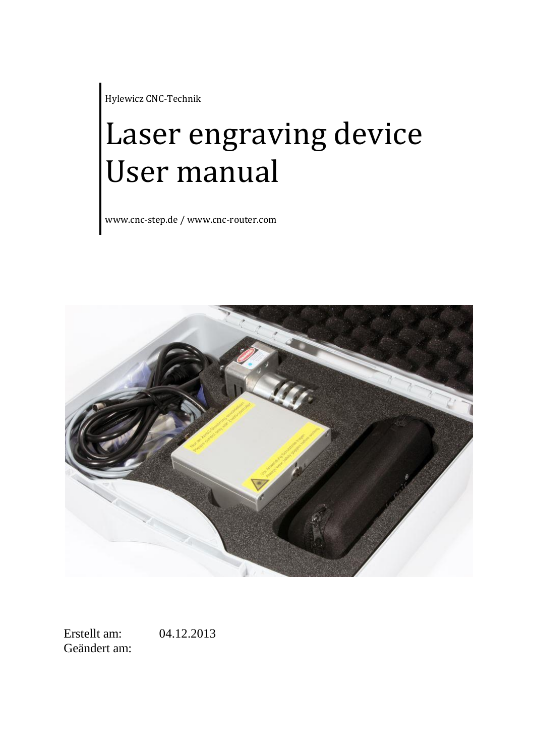Hylewicz CNC-Technik

# Laser engraving device User manual

www.cnc-step.de / www.cnc-router.com



Erstellt am: 04.12.2013 Geändert am: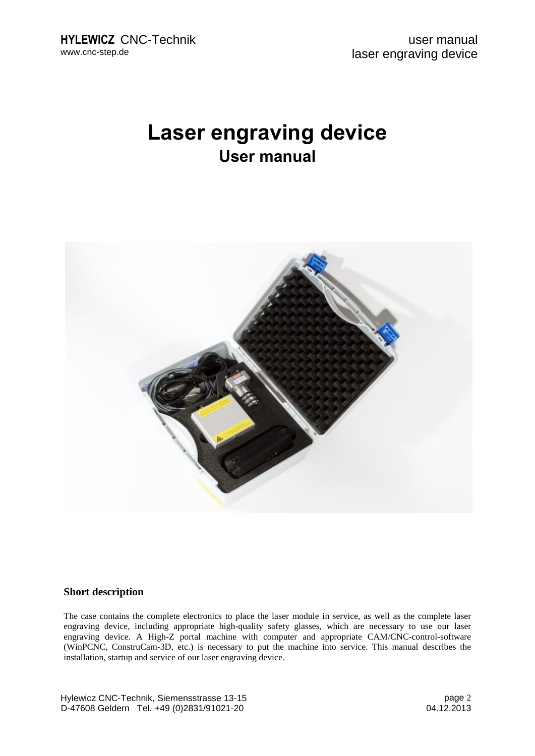## **Laser engraving device User manual**



#### **Short description**

The case contains the complete electronics to place the laser module in service, as well as the complete laser engraving device, including appropriate high-quality safety glasses, which are necessary to use our laser engraving device. A High-Z portal machine with computer and appropriate CAM/CNC-control-software (WinPCNC, ConstruCam-3D, etc.) is necessary to put the machine into service. This manual describes the installation, startup and service of our laser engraving device.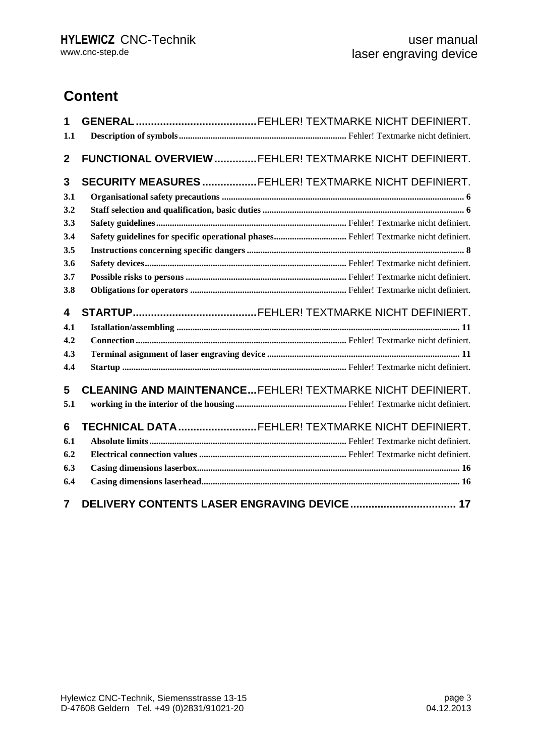## **Content**

| 1<br>1.1       |                                                                   |
|----------------|-------------------------------------------------------------------|
| $\mathbf{2}$   | FUNCTIONAL OVERVIEW FEHLER! TEXTMARKE NICHT DEFINIERT.            |
| 3              | SECURITY MEASURES FEHLER! TEXTMARKE NICHT DEFINIERT.              |
| 3.1            |                                                                   |
| 3.2            |                                                                   |
| 3.3            |                                                                   |
| 3.4            |                                                                   |
| 3.5            |                                                                   |
| 3.6            |                                                                   |
| 3.7            |                                                                   |
| 3.8            |                                                                   |
| 4              |                                                                   |
| 4.1            |                                                                   |
| 4.2            |                                                                   |
| 4.3            |                                                                   |
| 4.4            |                                                                   |
| 5              | <b>CLEANING AND MAINTENANCEFEHLER! TEXTMARKE NICHT DEFINIERT.</b> |
| 5.1            |                                                                   |
| 6              | TECHNICAL DATAFEHLER! TEXTMARKE NICHT DEFINIERT.                  |
| 6.1            |                                                                   |
| 6.2            |                                                                   |
| 6.3            |                                                                   |
| 6.4            |                                                                   |
| $\overline{7}$ |                                                                   |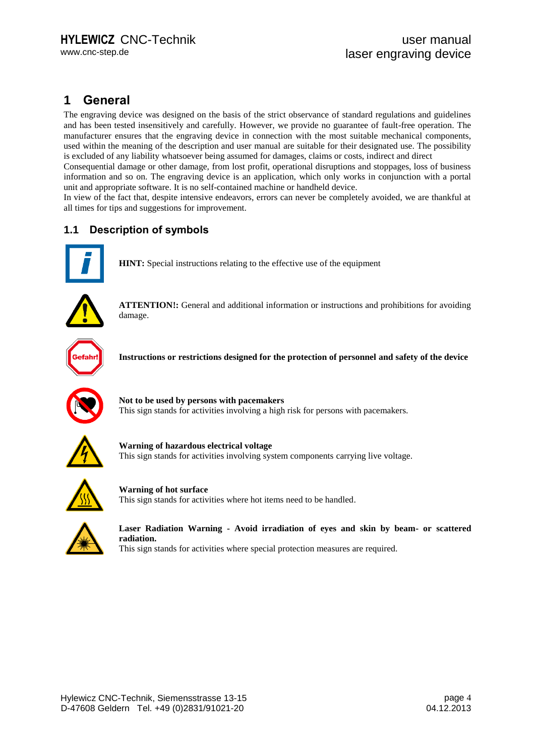## **1 General**

The engraving device was designed on the basis of the strict observance of standard regulations and guidelines and has been tested insensitively and carefully. However, we provide no guarantee of fault-free operation. The manufacturer ensures that the engraving device in connection with the most suitable mechanical components, used within the meaning of the description and user manual are suitable for their designated use. The possibility is excluded of any liability whatsoever being assumed for damages, claims or costs, indirect and direct

Consequential damage or other damage, from lost profit, operational disruptions and stoppages, loss of business information and so on. The engraving device is an application, which only works in conjunction with a portal unit and appropriate software. It is no self-contained machine or handheld device.

In view of the fact that, despite intensive endeavors, errors can never be completely avoided, we are thankful at all times for tips and suggestions for improvement.

#### **1.1 Description of symbols**



**HINT:** Special instructions relating to the effective use of the equipment



**ATTENTION!:** General and additional information or instructions and prohibitions for avoiding damage.



**Instructions or restrictions designed for the protection of personnel and safety of the device**



**Not to be used by persons with pacemakers** This sign stands for activities involving a high risk for persons with pacemakers.



**Warning of hazardous electrical voltage**  This sign stands for activities involving system components carrying live voltage.



**Warning of hot surface** This sign stands for activities where hot items need to be handled.



**Laser Radiation Warning - Avoid irradiation of eyes and skin by beam- or scattered radiation.** This sign stands for activities where special protection measures are required.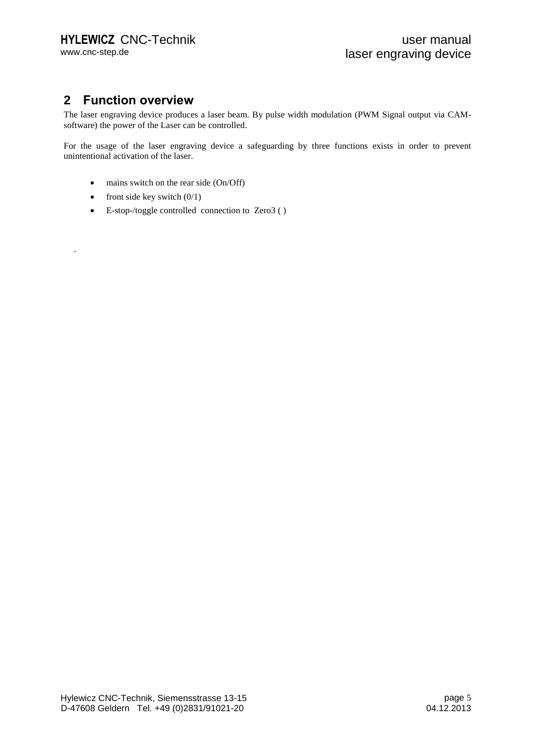## **2 Function overview**

The laser engraving device produces a laser beam. By pulse width modulation (PWM Signal output via CAMsoftware) the power of the Laser can be controlled.

For the usage of the laser engraving device a safeguarding by three functions exists in order to prevent unintentional activation of the laser.

- mains switch on the rear side (On/Off)
- front side key switch  $(0/1)$

.

E-stop-/toggle controlled connection to Zero3 ( )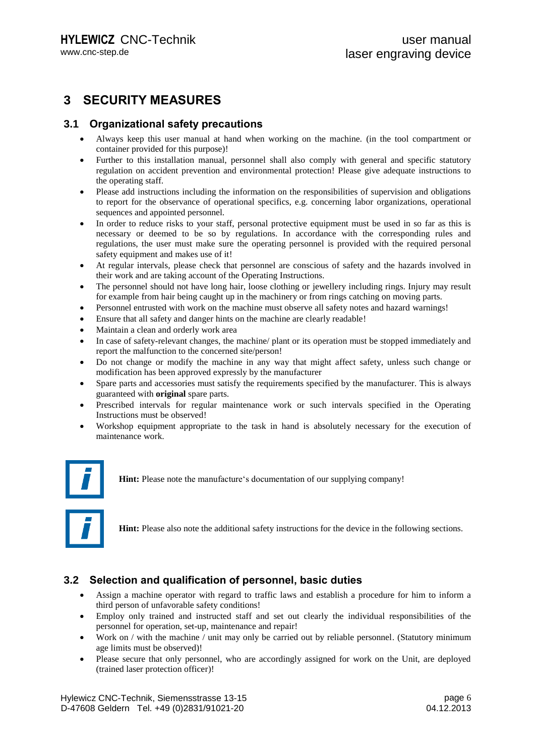## **3 SECURITY MEASURES**

#### **3.1 Organizational safety precautions**

- Always keep this user manual at hand when working on the machine. (in the tool compartment or container provided for this purpose)!
- Further to this installation manual, personnel shall also comply with general and specific statutory regulation on accident prevention and environmental protection! Please give adequate instructions to the operating staff.
- Please add instructions including the information on the responsibilities of supervision and obligations to report for the observance of operational specifics, e.g. concerning labor organizations, operational sequences and appointed personnel.
- In order to reduce risks to your staff, personal protective equipment must be used in so far as this is necessary or deemed to be so by regulations. In accordance with the corresponding rules and regulations, the user must make sure the operating personnel is provided with the required personal safety equipment and makes use of it!
- At regular intervals, please check that personnel are conscious of safety and the hazards involved in their work and are taking account of the Operating Instructions.
- The personnel should not have long hair, loose clothing or jewellery including rings. Injury may result for example from hair being caught up in the machinery or from rings catching on moving parts.
- Personnel entrusted with work on the machine must observe all safety notes and hazard warnings!
- Ensure that all safety and danger hints on the machine are clearly readable!
- Maintain a clean and orderly work area
- In case of safety-relevant changes, the machine/ plant or its operation must be stopped immediately and report the malfunction to the concerned site/person!
- Do not change or modify the machine in any way that might affect safety, unless such change or modification has been approved expressly by the manufacturer
- Spare parts and accessories must satisfy the requirements specified by the manufacturer. This is always guaranteed with **original** spare parts.
- Prescribed intervals for regular maintenance work or such intervals specified in the Operating Instructions must be observed!
- Workshop equipment appropriate to the task in hand is absolutely necessary for the execution of maintenance work.



**Hint:** Please note the manufacture's documentation of our supplying company!



**Hint:** Please also note the additional safety instructions for the device in the following sections.

#### **3.2 Selection and qualification of personnel, basic duties**

- Assign a machine operator with regard to traffic laws and establish a procedure for him to inform a third person of unfavorable safety conditions!
- Employ only trained and instructed staff and set out clearly the individual responsibilities of the personnel for operation, set-up, maintenance and repair!
- Work on / with the machine / unit may only be carried out by reliable personnel. (Statutory minimum age limits must be observed)!
- Please secure that only personnel, who are accordingly assigned for work on the Unit, are deployed (trained laser protection officer)!

Hylewicz CNC-Technik, Siemensstrasse 13-15 D-47608 Geldern Tel. +49 (0)2831/91021-20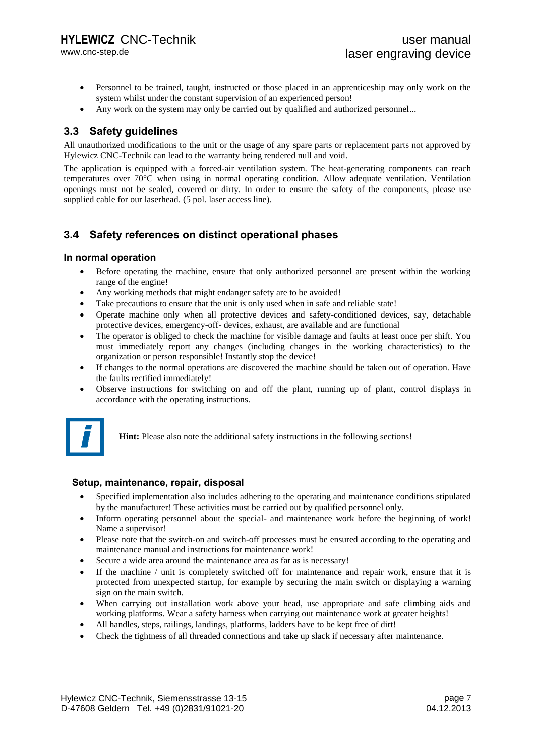www.cnc-step.de

- Personnel to be trained, taught, instructed or those placed in an apprenticeship may only work on the system whilst under the constant supervision of an experienced person!
- Any work on the system may only be carried out by qualified and authorized personnel...

#### **3.3 Safety guidelines**

All unauthorized modifications to the unit or the usage of any spare parts or replacement parts not approved by Hylewicz CNC-Technik can lead to the warranty being rendered null and void.

The application is equipped with a forced-air ventilation system. The heat-generating components can reach temperatures over 70°C when using in normal operating condition. Allow adequate ventilation. Ventilation openings must not be sealed, covered or dirty. In order to ensure the safety of the components, please use supplied cable for our laserhead. (5 pol. laser access line).

#### **3.4 Safety references on distinct operational phases**

#### **In normal operation**

- Before operating the machine, ensure that only authorized personnel are present within the working range of the engine!
- Any working methods that might endanger safety are to be avoided!
- Take precautions to ensure that the unit is only used when in safe and reliable state!
- Operate machine only when all protective devices and safety-conditioned devices, say, detachable protective devices, emergency-off- devices, exhaust, are available and are functional
- The operator is obliged to check the machine for visible damage and faults at least once per shift. You must immediately report any changes (including changes in the working characteristics) to the organization or person responsible! Instantly stop the device!
- If changes to the normal operations are discovered the machine should be taken out of operation. Have the faults rectified immediately!
- Observe instructions for switching on and off the plant, running up of plant, control displays in accordance with the operating instructions.



**Hint:** Please also note the additional safety instructions in the following sections!

#### **Setup, maintenance, repair, disposal**

- Specified implementation also includes adhering to the operating and maintenance conditions stipulated by the manufacturer! These activities must be carried out by qualified personnel only.
- Inform operating personnel about the special- and maintenance work before the beginning of work! Name a supervisor!
- Please note that the switch-on and switch-off processes must be ensured according to the operating and maintenance manual and instructions for maintenance work!
- Secure a wide area around the maintenance area as far as is necessary!
- If the machine / unit is completely switched off for maintenance and repair work, ensure that it is protected from unexpected startup, for example by securing the main switch or displaying a warning sign on the main switch.
- When carrying out installation work above your head, use appropriate and safe climbing aids and working platforms. Wear a safety harness when carrying out maintenance work at greater heights!
- All handles, steps, railings, landings, platforms, ladders have to be kept free of dirt!
- Check the tightness of all threaded connections and take up slack if necessary after maintenance.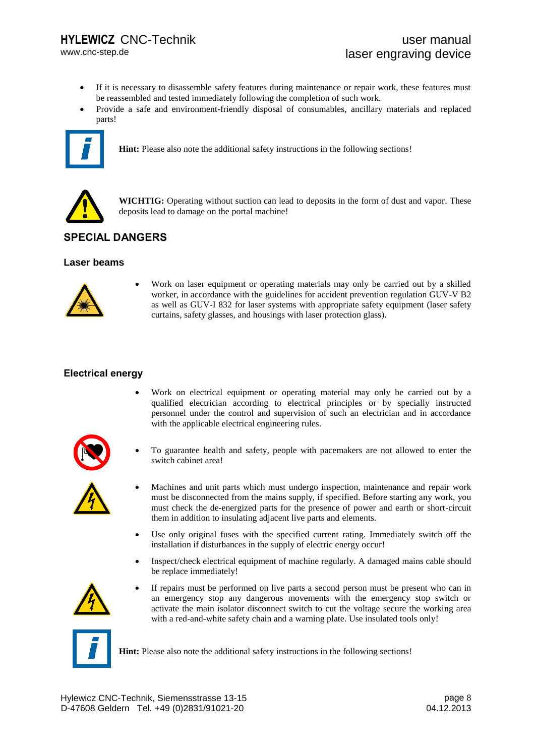www.cnc-step.de

- If it is necessary to disassemble safety features during maintenance or repair work, these features must be reassembled and tested immediately following the completion of such work.
- Provide a safe and environment-friendly disposal of consumables, ancillary materials and replaced parts!



**Hint:** Please also note the additional safety instructions in the following sections!



**WICHTIG:** Operating without suction can lead to deposits in the form of dust and vapor. These deposits lead to damage on the portal machine!

## **SPECIAL DANGERS**

#### **Laser beams**



 Work on laser equipment or operating materials may only be carried out by a skilled worker, in accordance with the guidelines for accident prevention regulation GUV-V B2 as well as GUV-I 832 for laser systems with appropriate safety equipment (laser safety curtains, safety glasses, and housings with laser protection glass).

#### **Electrical energy**

 Work on electrical equipment or operating material may only be carried out by a qualified electrician according to electrical principles or by specially instructed personnel under the control and supervision of such an electrician and in accordance with the applicable electrical engineering rules.



 To guarantee health and safety, people with pacemakers are not allowed to enter the switch cabinet area!



- Machines and unit parts which must undergo inspection, maintenance and repair work must be disconnected from the mains supply, if specified. Before starting any work, you must check the de-energized parts for the presence of power and earth or short-circuit them in addition to insulating adjacent live parts and elements.
- Use only original fuses with the specified current rating. Immediately switch off the installation if disturbances in the supply of electric energy occur!
- Inspect/check electrical equipment of machine regularly. A damaged mains cable should be replace immediately!



 If repairs must be performed on live parts a second person must be present who can in an emergency stop any dangerous movements with the emergency stop switch or activate the main isolator disconnect switch to cut the voltage secure the working area with a red-and-white safety chain and a warning plate. Use insulated tools only!



**Hint:** Please also note the additional safety instructions in the following sections!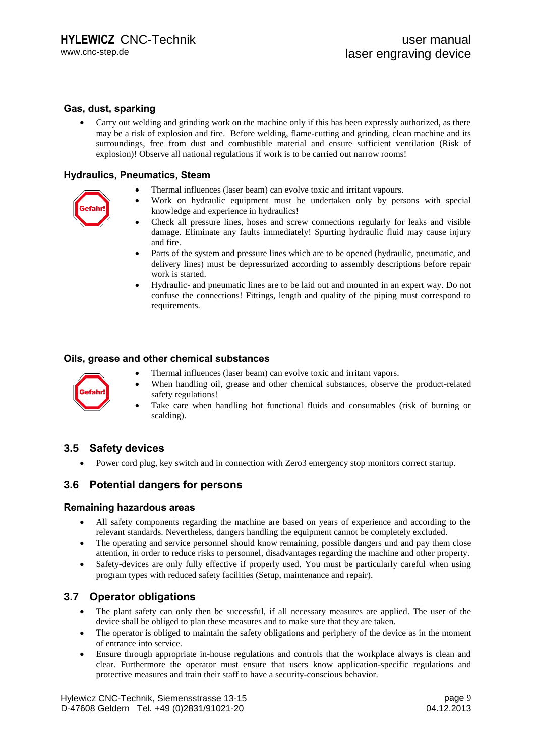#### **Gas, dust, sparking**

 Carry out welding and grinding work on the machine only if this has been expressly authorized, as there may be a risk of explosion and fire. Before welding, flame-cutting and grinding, clean machine and its surroundings, free from dust and combustible material and ensure sufficient ventilation (Risk of explosion)! Observe all national regulations if work is to be carried out narrow rooms!

#### **Hydraulics, Pneumatics, Steam**

Thermal influences (laser beam) can evolve toxic and irritant vapours.



- 
- Work on hydraulic equipment must be undertaken only by persons with special knowledge and experience in hydraulics! Check all pressure lines, hoses and screw connections regularly for leaks and visible
- damage. Eliminate any faults immediately! Spurting hydraulic fluid may cause injury and fire.
- Parts of the system and pressure lines which are to be opened (hydraulic, pneumatic, and delivery lines) must be depressurized according to assembly descriptions before repair work is started.
- Hydraulic- and pneumatic lines are to be laid out and mounted in an expert way. Do not confuse the connections! Fittings, length and quality of the piping must correspond to requirements.

#### **Oils, grease and other chemical substances**



- Thermal influences (laser beam) can evolve toxic and irritant vapors.
- When handling oil, grease and other chemical substances, observe the product-related safety regulations! Take care when handling hot functional fluids and consumables (risk of burning or
- scalding).

#### **3.5 Safety devices**

Power cord plug, key switch and in connection with Zero3 emergency stop monitors correct startup.

#### **3.6 Potential dangers for persons**

#### **Remaining hazardous areas**

- All safety components regarding the machine are based on years of experience and according to the relevant standards. Nevertheless, dangers handling the equipment cannot be completely excluded.
- The operating and service personnel should know remaining, possible dangers und and pay them close attention, in order to reduce risks to personnel, disadvantages regarding the machine and other property.
- Safety-devices are only fully effective if properly used. You must be particularly careful when using program types with reduced safety facilities (Setup, maintenance and repair).

#### **3.7 Operator obligations**

- The plant safety can only then be successful, if all necessary measures are applied. The user of the device shall be obliged to plan these measures and to make sure that they are taken.
- The operator is obliged to maintain the safety obligations and periphery of the device as in the moment of entrance into service.
- Ensure through appropriate in-house regulations and controls that the workplace always is clean and clear. Furthermore the operator must ensure that users know application-specific regulations and protective measures and train their staff to have a security-conscious behavior.

Hylewicz CNC-Technik, Siemensstrasse 13-15 D-47608 Geldern Tel. +49 (0)2831/91021-20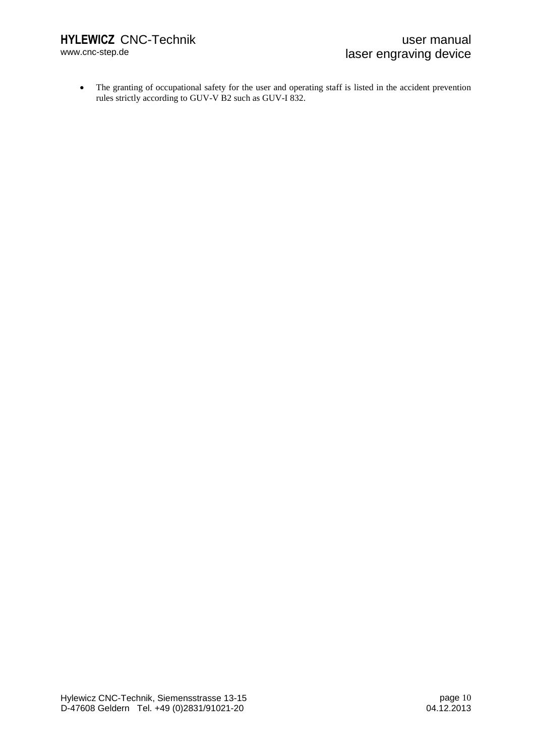www.cnc-step.de

 The granting of occupational safety for the user and operating staff is listed in the accident prevention rules strictly according to GUV-V B2 such as GUV-I 832.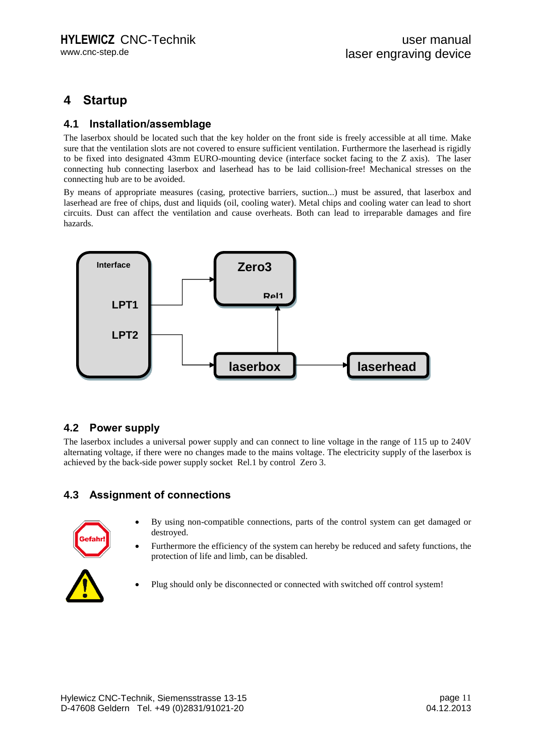## **4 Startup**

#### **4.1 Installation/assemblage**

The laserbox should be located such that the key holder on the front side is freely accessible at all time. Make sure that the ventilation slots are not covered to ensure sufficient ventilation. Furthermore the laserhead is rigidly to be fixed into designated 43mm EURO-mounting device (interface socket facing to the Z axis). The laser connecting hub connecting laserbox and laserhead has to be laid collision-free! Mechanical stresses on the connecting hub are to be avoided.

By means of appropriate measures (casing, protective barriers, suction...) must be assured, that laserbox and laserhead are free of chips, dust and liquids (oil, cooling water). Metal chips and cooling water can lead to short circuits. Dust can affect the ventilation and cause overheats. Both can lead to irreparable damages and fire hazards.



#### **4.2 Power supply**

The laserbox includes a universal power supply and can connect to line voltage in the range of 115 up to 240V alternating voltage, if there were no changes made to the mains voltage. The electricity supply of the laserbox is achieved by the back-side power supply socket Rel.1 by control Zero 3.

#### **4.3 Assignment of connections**



- By using non-compatible connections, parts of the control system can get damaged or destroyed.
- Furthermore the efficiency of the system can hereby be reduced and safety functions, the protection of life and limb, can be disabled.



Plug should only be disconnected or connected with switched off control system!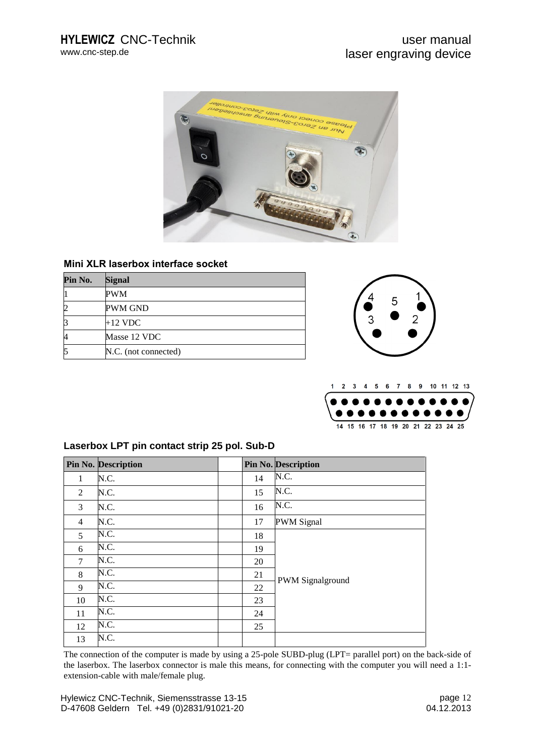

#### **Mini XLR laserbox interface socket**

| Pin No. | <b>Signal</b>        |
|---------|----------------------|
|         | PWM                  |
|         | <b>PWM GND</b>       |
|         | $+12$ VDC            |
| 4       | Masse 12 VDC         |
| 5       | N.C. (not connected) |





#### **Laserbox LPT pin contact strip 25 pol. Sub-D**

|                | <b>Pin No. Description</b> |    | Pin No. Description |
|----------------|----------------------------|----|---------------------|
| 1              | N.C.                       | 14 | N.C.                |
| 2              | N.C.                       | 15 | N.C.                |
| 3              | N.C.                       | 16 | N.C.                |
| $\overline{4}$ | N.C.                       | 17 | <b>PWM</b> Signal   |
| 5              | N.C.                       | 18 |                     |
| 6              | N.C.                       | 19 |                     |
| $\tau$         | N.C.                       | 20 |                     |
| 8              | N.C.                       | 21 |                     |
| 9              | N.C.                       | 22 | PWM Signalground    |
| 10             | N.C.                       | 23 |                     |
| 11             | N.C.                       | 24 |                     |
| 12             | N.C.                       | 25 |                     |
| 13             | N.C.                       |    |                     |

The connection of the computer is made by using a 25-pole SUBD-plug (LPT= parallel port) on the back-side of the laserbox. The laserbox connector is male this means, for connecting with the computer you will need a 1:1 extension-cable with male/female plug.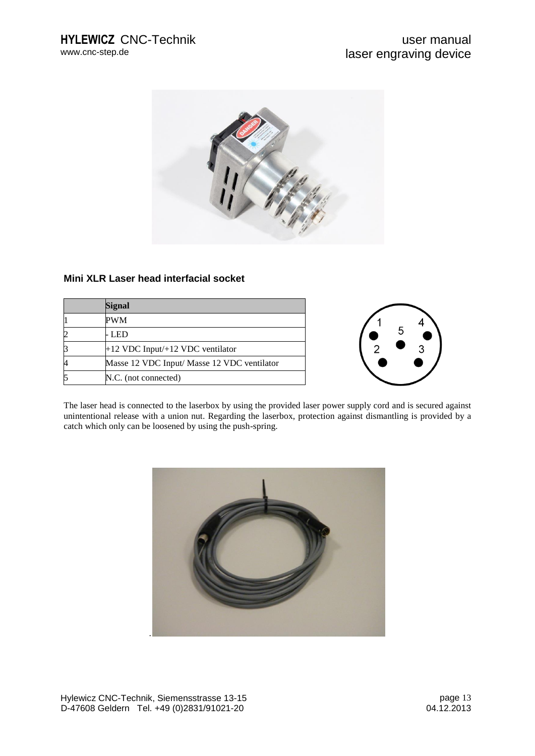

#### **Mini XLR Laser head interfacial socket**

| <b>Signal</b>                               |
|---------------------------------------------|
| PWM                                         |
| - LED                                       |
| +12 VDC Input/+12 VDC ventilator            |
| Masse 12 VDC Input/ Masse 12 VDC ventilator |
| N.C. (not connected)                        |



The laser head is connected to the laserbox by using the provided laser power supply cord and is secured against unintentional release with a union nut. Regarding the laserbox, protection against dismantling is provided by a catch which only can be loosened by using the push-spring.

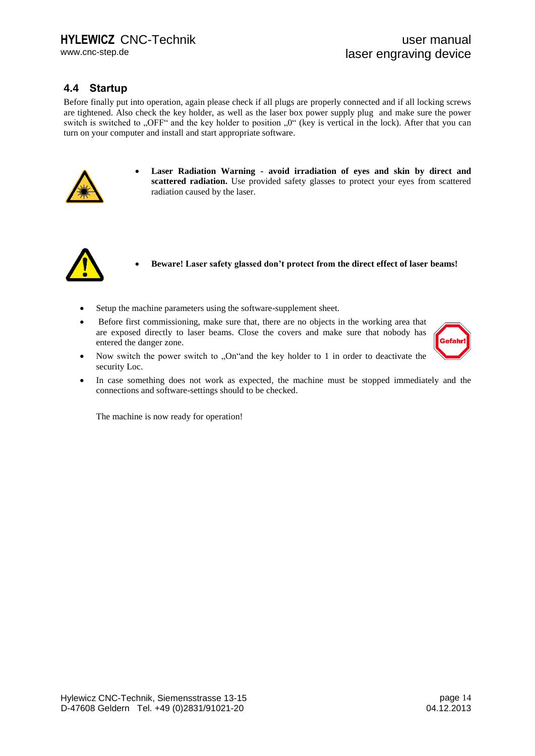www.cnc-step.de

#### **4.4 Startup**

Before finally put into operation, again please check if all plugs are properly connected and if all locking screws are tightened. Also check the key holder, as well as the laser box power supply plug and make sure the power switch is switched to "OFF" and the key holder to position  $\mu$ <sup>"</sup> (key is vertical in the lock). After that you can turn on your computer and install and start appropriate software.



 **Laser Radiation Warning - avoid irradiation of eyes and skin by direct and scattered radiation.** Use provided safety glasses to protect your eyes from scattered radiation caused by the laser.



- **Beware! Laser safety glassed don't protect from the direct effect of laser beams!**
- Setup the machine parameters using the software-supplement sheet.
- Before first commissioning, make sure that, there are no objects in the working area that are exposed directly to laser beams. Close the covers and make sure that nobody has entered the danger zone.



- Now switch the power switch to  $[On "and the key holder to 1 in order to deactivated the$ security Loc.
- In case something does not work as expected, the machine must be stopped immediately and the connections and software-settings should to be checked.

The machine is now ready for operation!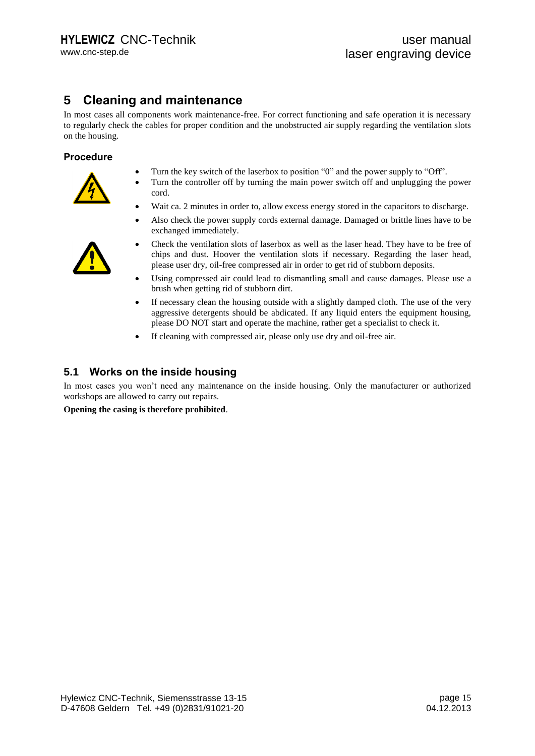## **5 Cleaning and maintenance**

In most cases all components work maintenance-free. For correct functioning and safe operation it is necessary to regularly check the cables for proper condition and the unobstructed air supply regarding the ventilation slots on the housing.

#### **Procedure**



- Turn the key switch of the laserbox to position "0" and the power supply to "Off".
- Turn the controller off by turning the main power switch off and unplugging the power cord.
- Wait ca. 2 minutes in order to, allow excess energy stored in the capacitors to discharge.
- Also check the power supply cords external damage. Damaged or brittle lines have to be exchanged immediately.



- Check the ventilation slots of laserbox as well as the laser head. They have to be free of chips and dust. Hoover the ventilation slots if necessary. Regarding the laser head, please user dry, oil-free compressed air in order to get rid of stubborn deposits.
- Using compressed air could lead to dismantling small and cause damages. Please use a brush when getting rid of stubborn dirt.
- If necessary clean the housing outside with a slightly damped cloth. The use of the very aggressive detergents should be abdicated. If any liquid enters the equipment housing, please DO NOT start and operate the machine, rather get a specialist to check it.
- If cleaning with compressed air, please only use dry and oil-free air.

#### **5.1 Works on the inside housing**

In most cases you won't need any maintenance on the inside housing. Only the manufacturer or authorized workshops are allowed to carry out repairs.

**Opening the casing is therefore prohibited**.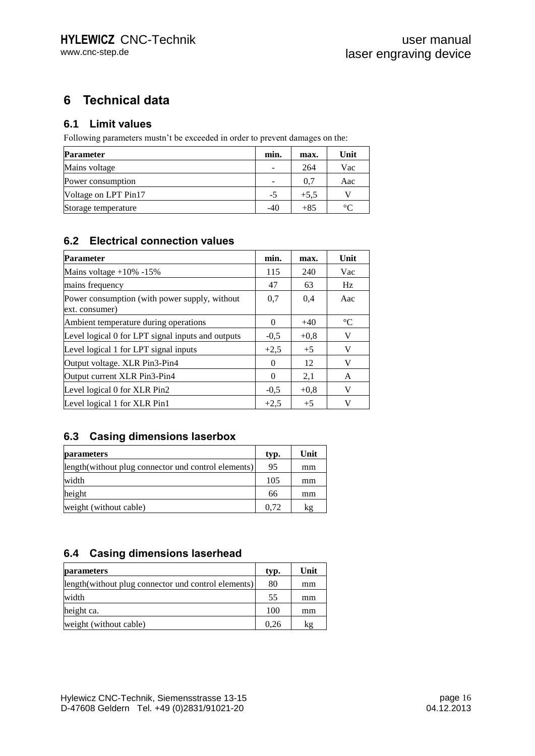## **6 Technical data**

#### **6.1 Limit values**

Following parameters mustn't be exceeded in order to prevent damages on the:

| <b>Parameter</b>     |       | max.   | Unit    |
|----------------------|-------|--------|---------|
| Mains voltage        |       | 264    | Vac     |
| Power consumption    |       | 0.7    | Aac     |
| Voltage on LPT Pin17 | -5    | $+5.5$ |         |
| Storage temperature  | $-40$ | $+85$  | $\circ$ |

#### **6.2 Electrical connection values**

| <b>Parameter</b>                                                | min.     | max.   | Unit            |
|-----------------------------------------------------------------|----------|--------|-----------------|
| Mains voltage $+10\%$ -15%                                      | 115      | 240    | Vac             |
| mains frequency                                                 | 47       | 63     | Hz              |
| Power consumption (with power supply, without<br>ext. consumer) | 0.7      | 0,4    | Aac             |
| Ambient temperature during operations                           | 0        | $+40$  | $\rm ^{\circ}C$ |
| Level logical 0 for LPT signal inputs and outputs               | $-0.5$   | $+0.8$ | V               |
| Level logical 1 for LPT signal inputs                           | $+2.5$   | $+5$   | V               |
| Output voltage. XLR Pin3-Pin4                                   | 0        | 12     | V               |
| Output current XLR Pin3-Pin4                                    | $\Omega$ | 2,1    | A               |
| Level logical 0 for XLR Pin2                                    | $-0.5$   | $+0.8$ | V               |
| Level logical 1 for XLR Pin1                                    | $+2,5$   | $+5$   | v               |

#### **6.3 Casing dimensions laserbox**

| <i>parameters</i>                                   | typ. | Unit |
|-----------------------------------------------------|------|------|
| length(without plug connector und control elements) | 95   | mm   |
| width                                               | 105  | mm   |
| height                                              | 66   | mm   |
| weight (without cable)                              | 0.72 | kg   |

### **6.4 Casing dimensions laserhead**

| <b>parameters</b>                                    | typ. | Unit |
|------------------------------------------------------|------|------|
| length (without plug connector und control elements) | 80   | mm   |
| width                                                | 55   | mm   |
| height ca.                                           | 100  | mm   |
| weight (without cable)                               | 0.26 | kg   |